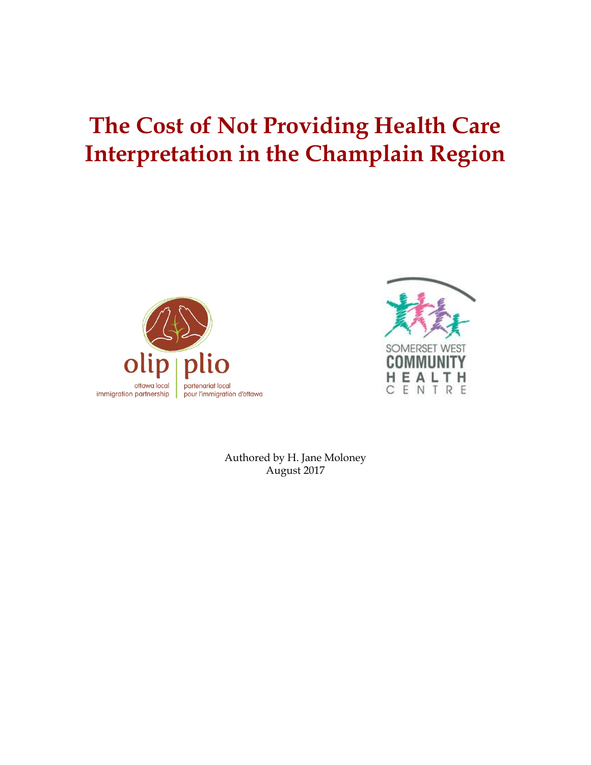# **The Cost of Not Providing Health Care Interpretation in the Champlain Region**





Authored by H. Jane Moloney August 2017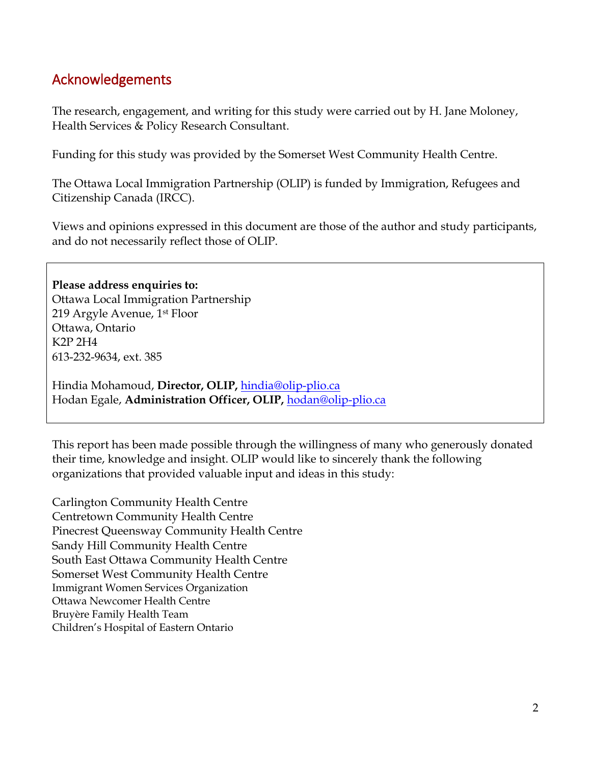# <span id="page-1-0"></span>Acknowledgements

The research, engagement, and writing for this study were carried out by H. Jane Moloney, Health Services & Policy Research Consultant.

Funding for this study was provided by the Somerset West Community Health Centre.

The Ottawa Local Immigration Partnership (OLIP) is funded by Immigration, Refugees and Citizenship Canada (IRCC).

Views and opinions expressed in this document are those of the author and study participants, and do not necessarily reflect those of OLIP.

**Please address enquiries to:**  Ottawa Local Immigration Partnership 219 Argyle Avenue, 1st Floor Ottawa, Ontario K2P 2H4 613-232-9634, ext. 385

Hindia Mohamoud, **Director, OLIP,** [hindia@olip-plio.ca](mailto:hindia@olip-plio.ca) Hodan Egale, **Administration Officer, OLIP,** [hodan@olip-plio.ca](mailto:hodan@olip-plio.ca)

This report has been made possible through the willingness of many who generously donated their time, knowledge and insight. OLIP would like to sincerely thank the following organizations that provided valuable input and ideas in this study:

Carlington Community Health Centre Centretown Community Health Centre Pinecrest Queensway Community Health Centre Sandy Hill Community Health Centre South East Ottawa Community Health Centre Somerset West Community Health Centre Immigrant Women Services Organization Ottawa Newcomer Health Centre Bruyère Family Health Team Children's Hospital of Eastern Ontario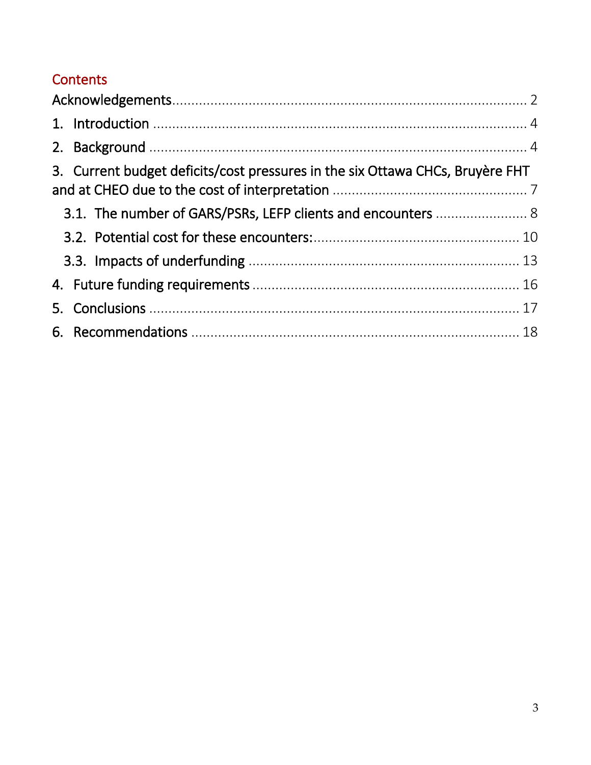# Contents

| 3. Current budget deficits/cost pressures in the six Ottawa CHCs, Bruyère FHT |  |
|-------------------------------------------------------------------------------|--|
|                                                                               |  |
| 3.1. The number of GARS/PSRs, LEFP clients and encounters  8                  |  |
|                                                                               |  |
|                                                                               |  |
|                                                                               |  |
|                                                                               |  |
|                                                                               |  |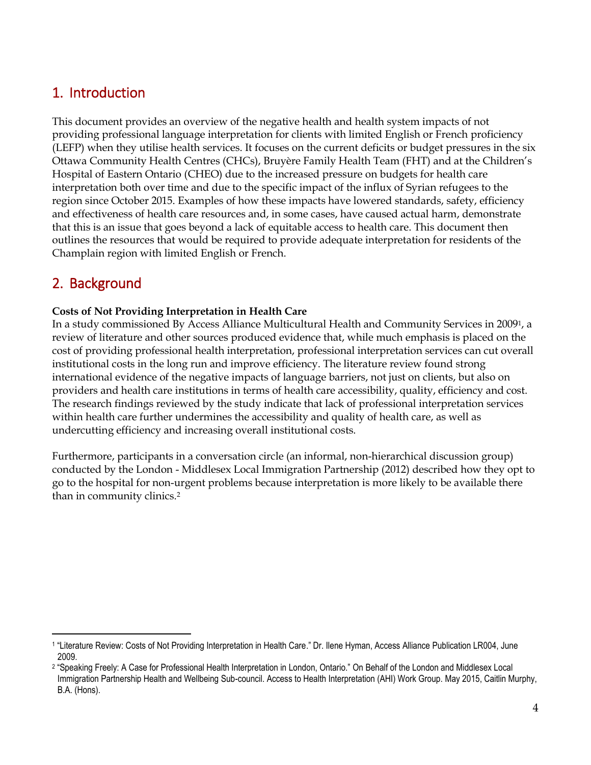## <span id="page-3-0"></span>1. Introduction

This document provides an overview of the negative health and health system impacts of not providing professional language interpretation for clients with limited English or French proficiency (LEFP) when they utilise health services. It focuses on the current deficits or budget pressures in the six Ottawa Community Health Centres (CHCs), Bruyère Family Health Team (FHT) and at the Children's Hospital of Eastern Ontario (CHEO) due to the increased pressure on budgets for health care interpretation both over time and due to the specific impact of the influx of Syrian refugees to the region since October 2015. Examples of how these impacts have lowered standards, safety, efficiency and effectiveness of health care resources and, in some cases, have caused actual harm, demonstrate that this is an issue that goes beyond a lack of equitable access to health care. This document then outlines the resources that would be required to provide adequate interpretation for residents of the Champlain region with limited English or French.

### <span id="page-3-1"></span>2. Background

#### **Costs of Not Providing Interpretation in Health Care**

In a study commissioned By Access Alliance Multicultural Health and Community Services in 20091, a review of literature and other sources produced evidence that, while much emphasis is placed on the cost of providing professional health interpretation, professional interpretation services can cut overall institutional costs in the long run and improve efficiency. The literature review found strong international evidence of the negative impacts of language barriers, not just on clients, but also on providers and health care institutions in terms of health care accessibility, quality, efficiency and cost. The research findings reviewed by the study indicate that lack of professional interpretation services within health care further undermines the accessibility and quality of health care, as well as undercutting efficiency and increasing overall institutional costs.

Furthermore, participants in a conversation circle (an informal, non-hierarchical discussion group) conducted by the London - Middlesex Local Immigration Partnership (2012) described how they opt to go to the hospital for non-urgent problems because interpretation is more likely to be available there than in community clinics.<sup>2</sup>

l 1 "Literature Review: Costs of Not Providing Interpretation in Health Care." Dr. Ilene Hyman, Access Alliance Publication LR004, June 2009.

<sup>2</sup> "Speaking Freely: A Case for Professional Health Interpretation in London, Ontario." On Behalf of the London and Middlesex Local Immigration Partnership Health and Wellbeing Sub-council. Access to Health Interpretation (AHI) Work Group. May 2015, Caitlin Murphy, B.A. (Hons).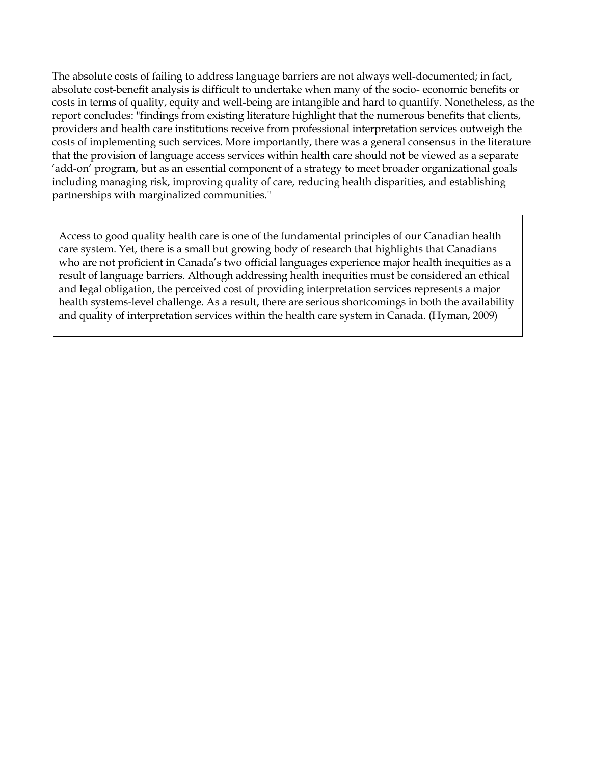The absolute costs of failing to address language barriers are not always well-documented; in fact, absolute cost-benefit analysis is difficult to undertake when many of the socio- economic benefits or costs in terms of quality, equity and well-being are intangible and hard to quantify. Nonetheless, as the report concludes: "findings from existing literature highlight that the numerous benefits that clients, providers and health care institutions receive from professional interpretation services outweigh the costs of implementing such services. More importantly, there was a general consensus in the literature that the provision of language access services within health care should not be viewed as a separate 'add-on' program, but as an essential component of a strategy to meet broader organizational goals including managing risk, improving quality of care, reducing health disparities, and establishing partnerships with marginalized communities."

Access to good quality health care is one of the fundamental principles of our Canadian health care system. Yet, there is a small but growing body of research that highlights that Canadians who are not proficient in Canada's two official languages experience major health inequities as a result of language barriers. Although addressing health inequities must be considered an ethical and legal obligation, the perceived cost of providing interpretation services represents a major health systems-level challenge. As a result, there are serious shortcomings in both the availability and quality of interpretation services within the health care system in Canada. (Hyman, 2009)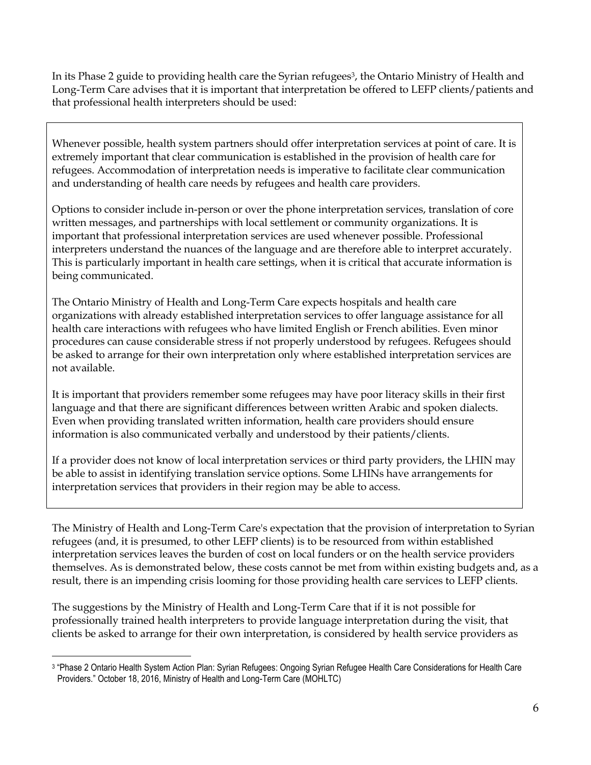In its Phase 2 guide to providing health care the Syrian refugees<sup>3</sup>, the Ontario Ministry of Health and Long-Term Care advises that it is important that interpretation be offered to LEFP clients/patients and that professional health interpreters should be used:

Whenever possible, health system partners should offer interpretation services at point of care. It is extremely important that clear communication is established in the provision of health care for refugees. Accommodation of interpretation needs is imperative to facilitate clear communication and understanding of health care needs by refugees and health care providers.

Options to consider include in-person or over the phone interpretation services, translation of core written messages, and partnerships with local settlement or community organizations. It is important that professional interpretation services are used whenever possible. Professional interpreters understand the nuances of the language and are therefore able to interpret accurately. This is particularly important in health care settings, when it is critical that accurate information is being communicated.

The Ontario Ministry of Health and Long-Term Care expects hospitals and health care organizations with already established interpretation services to offer language assistance for all health care interactions with refugees who have limited English or French abilities. Even minor procedures can cause considerable stress if not properly understood by refugees. Refugees should be asked to arrange for their own interpretation only where established interpretation services are not available.

It is important that providers remember some refugees may have poor literacy skills in their first language and that there are significant differences between written Arabic and spoken dialects. Even when providing translated written information, health care providers should ensure information is also communicated verbally and understood by their patients/clients.

If a provider does not know of local interpretation services or third party providers, the LHIN may be able to assist in identifying translation service options. Some LHINs have arrangements for interpretation services that providers in their region may be able to access.

The Ministry of Health and Long-Term Care's expectation that the provision of interpretation to Syrian refugees (and, it is presumed, to other LEFP clients) is to be resourced from within established interpretation services leaves the burden of cost on local funders or on the health service providers themselves. As is demonstrated below, these costs cannot be met from within existing budgets and, as a result, there is an impending crisis looming for those providing health care services to LEFP clients.

The suggestions by the Ministry of Health and Long-Term Care that if it is not possible for professionally trained health interpreters to provide language interpretation during the visit, that clients be asked to arrange for their own interpretation, is considered by health service providers as

l 3 "Phase 2 Ontario Health System Action Plan: Syrian Refugees: Ongoing Syrian Refugee Health Care Considerations for Health Care Providers." October 18, 2016, Ministry of Health and Long-Term Care (MOHLTC)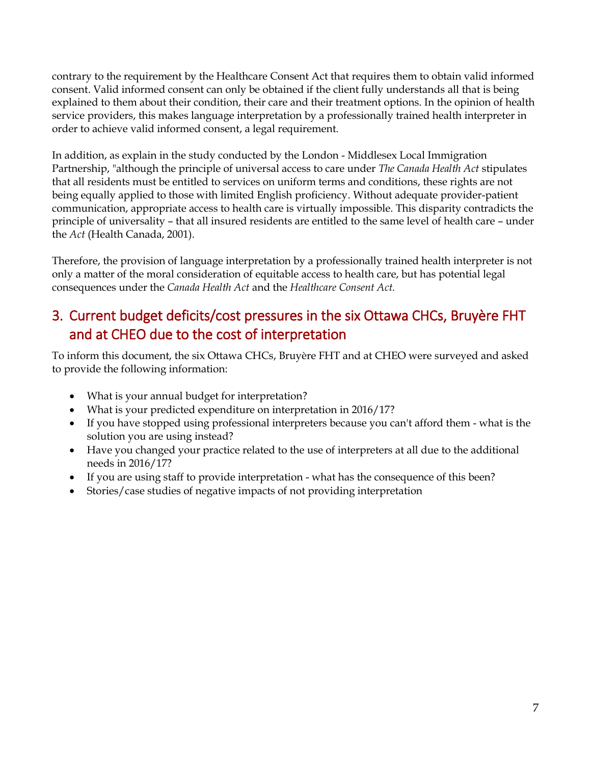contrary to the requirement by the Healthcare Consent Act that requires them to obtain valid informed consent. Valid informed consent can only be obtained if the client fully understands all that is being explained to them about their condition, their care and their treatment options. In the opinion of health service providers, this makes language interpretation by a professionally trained health interpreter in order to achieve valid informed consent, a legal requirement.

In addition, as explain in the study conducted by the London - Middlesex Local Immigration Partnership, "although the principle of universal access to care under *The Canada Health Act* stipulates that all residents must be entitled to services on uniform terms and conditions, these rights are not being equally applied to those with limited English proficiency. Without adequate provider-patient communication, appropriate access to health care is virtually impossible. This disparity contradicts the principle of universality – that all insured residents are entitled to the same level of health care – under the *Act* (Health Canada, 2001).

Therefore, the provision of language interpretation by a professionally trained health interpreter is not only a matter of the moral consideration of equitable access to health care, but has potential legal consequences under the *Canada Health Act* and the *Healthcare Consent Act.*

# <span id="page-6-0"></span>3. Current budget deficits/cost pressures in the six Ottawa CHCs, Bruyère FHT and at CHEO due to the cost of interpretation

To inform this document, the six Ottawa CHCs, Bruyère FHT and at CHEO were surveyed and asked to provide the following information:

- What is your annual budget for interpretation?
- What is your predicted expenditure on interpretation in 2016/17?
- If you have stopped using professional interpreters because you can't afford them what is the solution you are using instead?
- Have you changed your practice related to the use of interpreters at all due to the additional needs in 2016/17?
- If you are using staff to provide interpretation what has the consequence of this been?
- Stories/case studies of negative impacts of not providing interpretation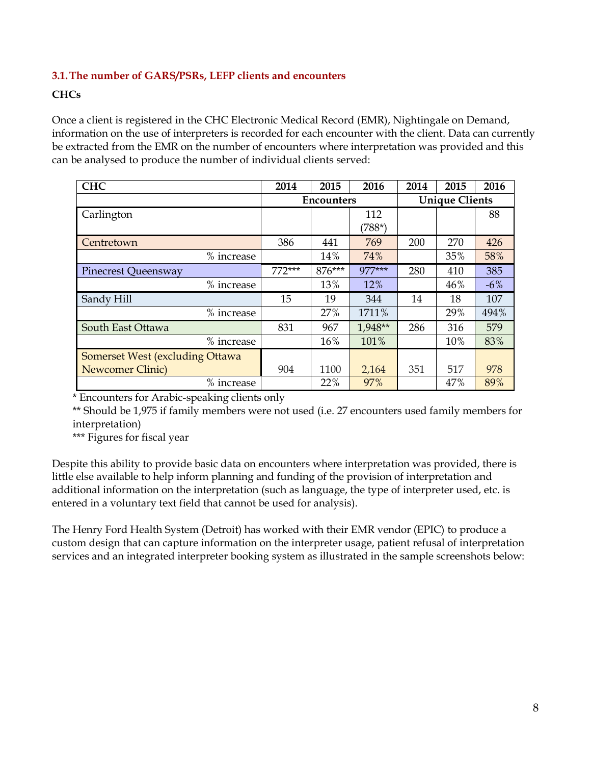#### <span id="page-7-0"></span>**3.1.The number of GARS/PSRs, LEFP clients and encounters**

#### **CHCs**

Once a client is registered in the CHC Electronic Medical Record (EMR), Nightingale on Demand, information on the use of interpreters is recorded for each encounter with the client. Data can currently be extracted from the EMR on the number of encounters where interpretation was provided and this can be analysed to produce the number of individual clients served:

| <b>CHC</b>                             | 2014              | 2015   | 2016                  | 2014 | 2015 | 2016  |
|----------------------------------------|-------------------|--------|-----------------------|------|------|-------|
|                                        | <b>Encounters</b> |        | <b>Unique Clients</b> |      |      |       |
| Carlington                             |                   |        | 112                   |      |      | 88    |
|                                        |                   |        | $(788*)$              |      |      |       |
| Centretown                             | 386               | 441    | 769                   | 200  | 270  | 426   |
| % increase                             |                   | 14%    | 74%                   |      | 35%  | 58%   |
| <b>Pinecrest Queensway</b>             | $772***$          | 876*** | 977***                | 280  | 410  | 385   |
| % increase                             |                   | 13%    | 12%                   |      | 46%  | $-6%$ |
| Sandy Hill                             | 15                | 19     | 344                   | 14   | 18   | 107   |
| % increase                             |                   | 27%    | 1711%                 |      | 29%  | 494%  |
| South East Ottawa                      | 831               | 967    | 1,948**               | 286  | 316  | 579   |
| % increase                             |                   | 16%    | 101%                  |      | 10%  | 83%   |
| <b>Somerset West (excluding Ottawa</b> |                   |        |                       |      |      |       |
| <b>Newcomer Clinic</b> )               | 904               | 1100   | 2,164                 | 351  | 517  | 978   |
| % increase                             |                   | 22%    | 97%                   |      | 47%  | 89%   |

\* Encounters for Arabic-speaking clients only

\*\* Should be 1,975 if family members were not used (i.e. 27 encounters used family members for interpretation)

\*\*\* Figures for fiscal year

Despite this ability to provide basic data on encounters where interpretation was provided, there is little else available to help inform planning and funding of the provision of interpretation and additional information on the interpretation (such as language, the type of interpreter used, etc. is entered in a voluntary text field that cannot be used for analysis).

The Henry Ford Health System (Detroit) has worked with their EMR vendor (EPIC) to produce a custom design that can capture information on the interpreter usage, patient refusal of interpretation services and an integrated interpreter booking system as illustrated in the sample screenshots below: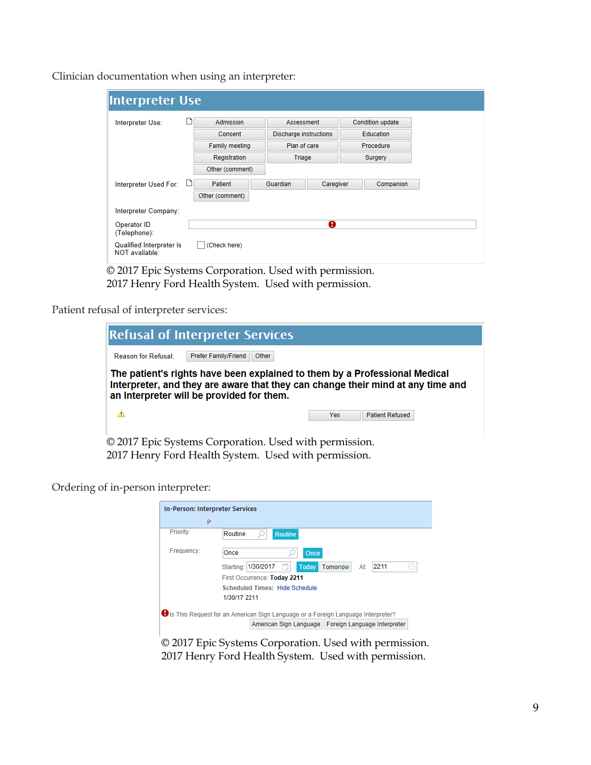Clinician documentation when using an interpreter:

| Interpreter Use                            |   |                            |                                        |           |                                      |                  |
|--------------------------------------------|---|----------------------------|----------------------------------------|-----------|--------------------------------------|------------------|
| Interpreter Use:                           |   | <b>Admission</b>           | Assessment                             |           |                                      | Condition update |
|                                            |   | Consent                    | Discharge instructions<br>Plan of care |           | <b>Education</b><br><b>Procedure</b> |                  |
|                                            |   | <b>Family meeting</b>      |                                        |           |                                      |                  |
|                                            |   | Registration               | Triage                                 |           | Surgery                              |                  |
|                                            |   | Other (comment)            |                                        |           |                                      |                  |
| Interpreter Used For:                      | ப | Patient<br>Other (comment) | Guardian                               | Caregiver |                                      | Companion        |
| Interpreter Company:                       |   |                            |                                        |           |                                      |                  |
| Operator ID<br>(Telephone):                |   |                            |                                        | Ø         |                                      |                  |
| Qualified Interpreter is<br>NOT available: |   | (Check here)               |                                        |           |                                      |                  |

© 2017 Epic Systems Corporation. Used with permission. 2017 Henry Ford Health System. Used with permission.

Patient refusal of interpreter services:

| <b>Refusal of Interpreter Services</b>                                                                                                                                                                     |                             |       |  |            |                        |  |
|------------------------------------------------------------------------------------------------------------------------------------------------------------------------------------------------------------|-----------------------------|-------|--|------------|------------------------|--|
| <b>Reason for Refusal:</b>                                                                                                                                                                                 | <b>Prefer Family/Friend</b> | Other |  |            |                        |  |
| The patient's rights have been explained to them by a Professional Medical<br>Interpreter, and they are aware that they can change their mind at any time and<br>an Interpreter will be provided for them. |                             |       |  |            |                        |  |
| Δ                                                                                                                                                                                                          |                             |       |  | <b>Yes</b> | <b>Patient Refused</b> |  |
| $\otimes$ 2017 Exis Createnes Comparation Head with mountains                                                                                                                                              |                             |       |  |            |                        |  |

© 2017 Epic Systems Corporation. Used with permission. 2017 Henry Ford Health System. Used with permission.

Ordering of in-person interpreter:

|            | In-Person: Interpreter Services                                                    |
|------------|------------------------------------------------------------------------------------|
|            | P                                                                                  |
| Priority:  | Routine<br><b>Routine</b>                                                          |
| Frequency: | Once<br>Once                                                                       |
|            | 2211<br>Starting: 1/30/2017<br>Today<br>Tomorrow<br>At:                            |
|            | First Occurrence: Today 2211                                                       |
|            | <b>Scheduled Times: Hide Schedule</b>                                              |
|            | 1/30/17 2211                                                                       |
|            | S Is This Request for an American Sign Language or a Foreign Language Interpreter? |
|            | American Sign Language   Foreign Language Interpreter                              |
|            | © 2017 Epic Systems Corporation. Used with permission.                             |
|            | 2017 Henry Ford Health System. Used with permission.                               |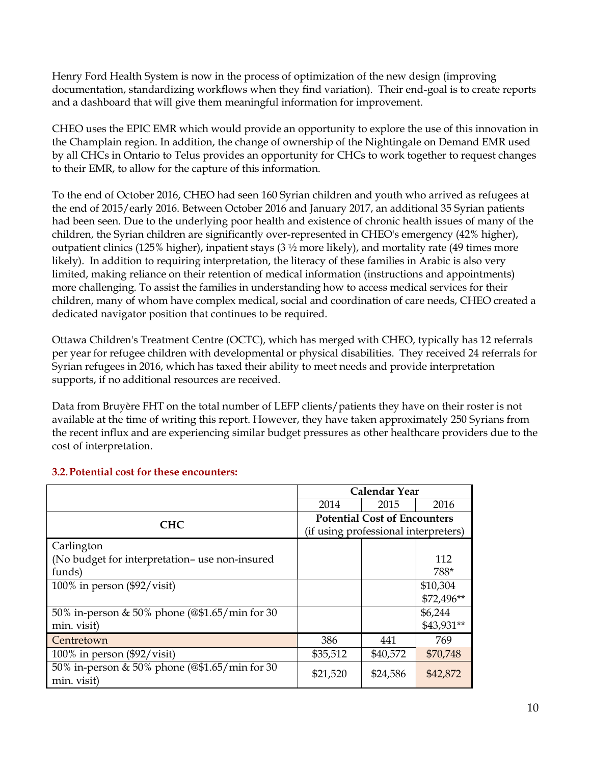Henry Ford Health System is now in the process of optimization of the new design (improving documentation, standardizing workflows when they find variation). Their end-goal is to create reports and a dashboard that will give them meaningful information for improvement.

CHEO uses the EPIC EMR which would provide an opportunity to explore the use of this innovation in the Champlain region. In addition, the change of ownership of the Nightingale on Demand EMR used by all CHCs in Ontario to Telus provides an opportunity for CHCs to work together to request changes to their EMR, to allow for the capture of this information.

To the end of October 2016, CHEO had seen 160 Syrian children and youth who arrived as refugees at the end of 2015/early 2016. Between October 2016 and January 2017, an additional 35 Syrian patients had been seen. Due to the underlying poor health and existence of chronic health issues of many of the children, the Syrian children are significantly over-represented in CHEO's emergency (42% higher), outpatient clinics (125% higher), inpatient stays (3 ½ more likely), and mortality rate (49 times more likely). In addition to requiring interpretation, the literacy of these families in Arabic is also very limited, making reliance on their retention of medical information (instructions and appointments) more challenging. To assist the families in understanding how to access medical services for their children, many of whom have complex medical, social and coordination of care needs, CHEO created a dedicated navigator position that continues to be required.

Ottawa Children's Treatment Centre (OCTC), which has merged with CHEO, typically has 12 referrals per year for refugee children with developmental or physical disabilities. They received 24 referrals for Syrian refugees in 2016, which has taxed their ability to meet needs and provide interpretation supports, if no additional resources are received.

Data from Bruyère FHT on the total number of LEFP clients/patients they have on their roster is not available at the time of writing this report. However, they have taken approximately 250 Syrians from the recent influx and are experiencing similar budget pressures as other healthcare providers due to the cost of interpretation.

|                                               | <b>Calendar Year</b>                 |          |            |  |  |
|-----------------------------------------------|--------------------------------------|----------|------------|--|--|
|                                               | 2014                                 | 2015     | 2016       |  |  |
| <b>CHC</b>                                    | <b>Potential Cost of Encounters</b>  |          |            |  |  |
|                                               | (if using professional interpreters) |          |            |  |  |
| Carlington                                    |                                      |          |            |  |  |
| (No budget for interpretation-use non-insured |                                      |          | 112        |  |  |
| funds)                                        |                                      |          | 788*       |  |  |
| 100% in person $(\frac{92}{v}\times$ isit)    |                                      |          | \$10,304   |  |  |
|                                               |                                      |          | \$72,496** |  |  |
| 50% in-person & 50% phone (@\$1.65/min for 30 |                                      |          | \$6,244    |  |  |
| min. visit)                                   |                                      |          | \$43,931** |  |  |
| Centretown                                    | 386                                  | 441      | 769        |  |  |
| 100% in person $(\frac{92}{\text{visit}})$    | \$35,512                             | \$40,572 | \$70,748   |  |  |
| 50% in-person & 50% phone (@\$1.65/min for 30 | \$21,520                             | \$24,586 | \$42,872   |  |  |
| min. visit)                                   |                                      |          |            |  |  |

#### <span id="page-9-0"></span>**3.2.Potential cost for these encounters:**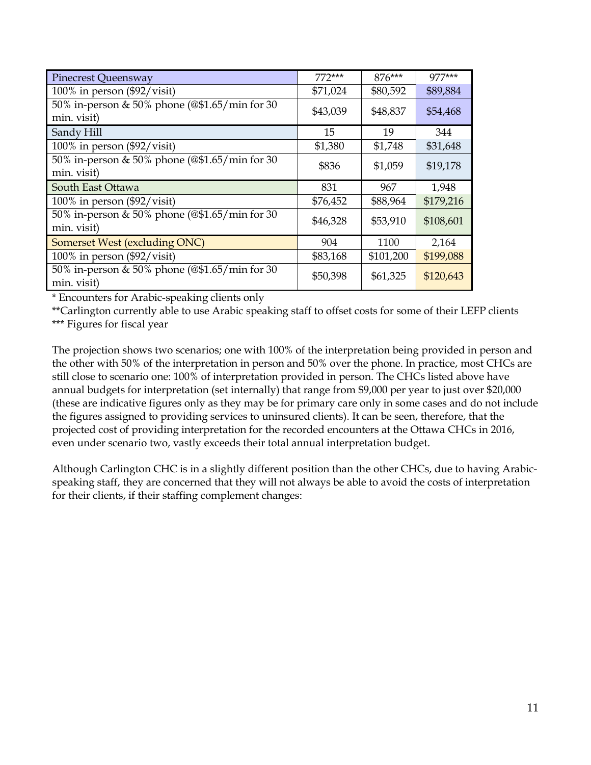| <b>Pinecrest Queensway</b>                                   | $772***$ | $876***$  | $977***$  |
|--------------------------------------------------------------|----------|-----------|-----------|
| 100% in person $(\frac{92}{\text{visit}})$                   | \$71,024 | \$80,592  | \$89,884  |
| 50% in-person & 50% phone (@\$1.65/min for 30<br>min. visit) | \$43,039 | \$48,837  | \$54,468  |
| Sandy Hill                                                   | 15       | 19        | 344       |
| $100\%$ in person (\$92/visit)                               | \$1,380  | \$1,748   | \$31,648  |
| 50% in-person & 50% phone (@\$1.65/min for 30<br>min. visit) | \$836    | \$1,059   | \$19,178  |
| South East Ottawa                                            | 831      | 967       | 1,948     |
| $100\%$ in person (\$92/visit)                               | \$76,452 | \$88,964  | \$179,216 |
| 50% in-person & 50% phone (@\$1.65/min for 30<br>min. visit) | \$46,328 | \$53,910  | \$108,601 |
| Somerset West (excluding ONC)                                | 904      | 1100      | 2,164     |
| 100% in person $(\frac{92}{v}\times i\sin\theta)$            | \$83,168 | \$101,200 | \$199,088 |
| 50% in-person & 50% phone (@\$1.65/min for 30<br>min. visit) | \$50,398 | \$61,325  | \$120,643 |

\* Encounters for Arabic-speaking clients only

\*\*Carlington currently able to use Arabic speaking staff to offset costs for some of their LEFP clients \*\*\* Figures for fiscal year

The projection shows two scenarios; one with 100% of the interpretation being provided in person and the other with 50% of the interpretation in person and 50% over the phone. In practice, most CHCs are still close to scenario one: 100% of interpretation provided in person. The CHCs listed above have annual budgets for interpretation (set internally) that range from \$9,000 per year to just over \$20,000 (these are indicative figures only as they may be for primary care only in some cases and do not include the figures assigned to providing services to uninsured clients). It can be seen, therefore, that the projected cost of providing interpretation for the recorded encounters at the Ottawa CHCs in 2016, even under scenario two, vastly exceeds their total annual interpretation budget.

Although Carlington CHC is in a slightly different position than the other CHCs, due to having Arabicspeaking staff, they are concerned that they will not always be able to avoid the costs of interpretation for their clients, if their staffing complement changes: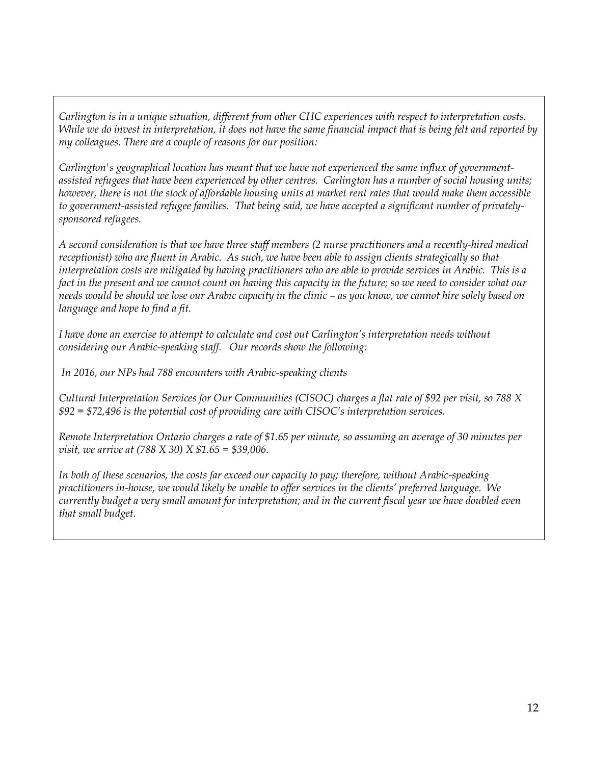*Carlington is in a unique situation, different from other CHC experiences with respect to interpretation costs. While we do invest in interpretation, it does not have the same financial impact that is being felt and reported by my colleagues. There are a couple of reasons for our position:* 

*Carlington's geographical location has meant that we have not experienced the same influx of governmentassisted refugees that have been experienced by other centres. Carlington has a number of social housing units; however, there is not the stock of affordable housing units at market rent rates that would make them accessible to government-assisted refugee families. That being said, we have accepted a significant number of privatelysponsored refugees.*

*A second consideration is that we have three staff members (2 nurse practitioners and a recently-hired medical receptionist) who are fluent in Arabic. As such, we have been able to assign clients strategically so that interpretation costs are mitigated by having practitioners who are able to provide services in Arabic. This is a fact in the present and we cannot count on having this capacity in the future; so we need to consider what our needs would be should we lose our Arabic capacity in the clinic – as you know, we cannot hire solely based on language and hope to find a fit.*

*I have done an exercise to attempt to calculate and cost out Carlington's interpretation needs without considering our Arabic-speaking staff. Our records show the following:*

*In 2016, our NPs had 788 encounters with Arabic-speaking clients*

*Cultural Interpretation Services for Our Communities (CISOC) charges a flat rate of \$92 per visit, so 788 X \$92 = \$72,496 is the potential cost of providing care with CISOC's interpretation services.*

*Remote Interpretation Ontario charges a rate of \$1.65 per minute, so assuming an average of 30 minutes per visit, we arrive at (788 X 30) X \$1.65 = \$39,006.*

*In both of these scenarios, the costs far exceed our capacity to pay; therefore, without Arabic-speaking practitioners in-house, we would likely be unable to offer services in the clients' preferred language. We currently budget a very small amount for interpretation; and in the current fiscal year we have doubled even that small budget.*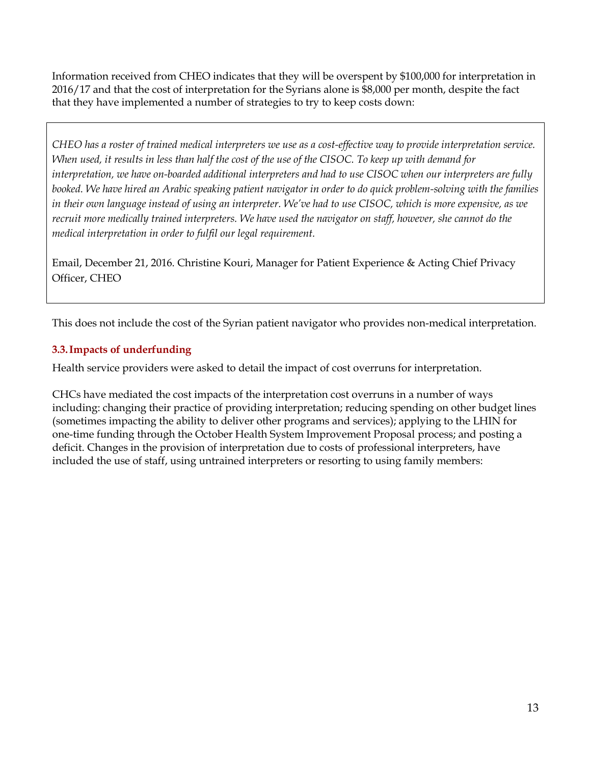Information received from CHEO indicates that they will be overspent by \$100,000 for interpretation in 2016/17 and that the cost of interpretation for the Syrians alone is \$8,000 per month, despite the fact that they have implemented a number of strategies to try to keep costs down:

*CHEO has a roster of trained medical interpreters we use as a cost-effective way to provide interpretation service. When used, it results in less than half the cost of the use of the CISOC. To keep up with demand for interpretation, we have on-boarded additional interpreters and had to use CISOC when our interpreters are fully booked. We have hired an Arabic speaking patient navigator in order to do quick problem-solving with the families in their own language instead of using an interpreter. We've had to use CISOC, which is more expensive, as we recruit more medically trained interpreters. We have used the navigator on staff, however, she cannot do the medical interpretation in order to fulfil our legal requirement.*

Email, December 21, 2016. Christine Kouri, Manager for Patient Experience & Acting Chief Privacy Officer, CHEO

This does not include the cost of the Syrian patient navigator who provides non-medical interpretation.

#### <span id="page-12-0"></span>**3.3.Impacts of underfunding**

Health service providers were asked to detail the impact of cost overruns for interpretation.

CHCs have mediated the cost impacts of the interpretation cost overruns in a number of ways including: changing their practice of providing interpretation; reducing spending on other budget lines (sometimes impacting the ability to deliver other programs and services); applying to the LHIN for one-time funding through the October Health System Improvement Proposal process; and posting a deficit. Changes in the provision of interpretation due to costs of professional interpreters, have included the use of staff, using untrained interpreters or resorting to using family members: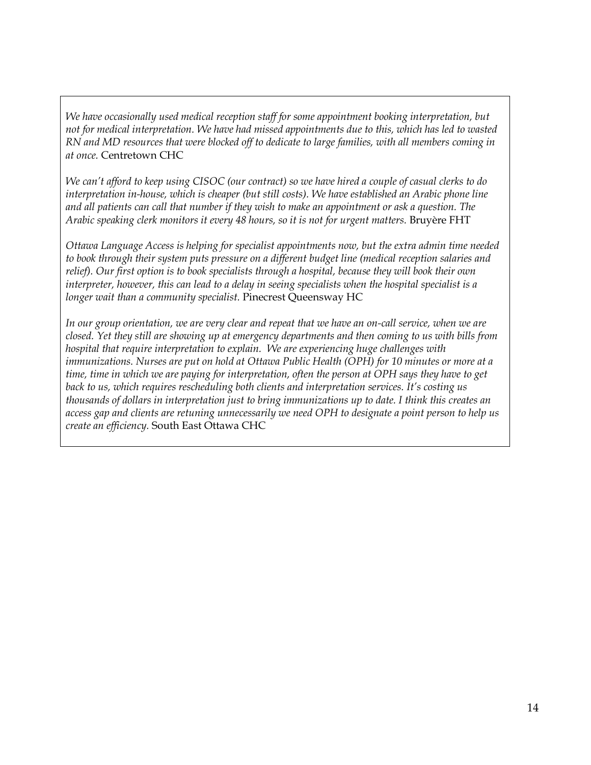*We have occasionally used medical reception staff for some appointment booking interpretation, but not for medical interpretation. We have had missed appointments due to this, which has led to wasted RN and MD resources that were blocked off to dedicate to large families, with all members coming in at once.* Centretown CHC

*We can't afford to keep using CISOC (our contract) so we have hired a couple of casual clerks to do interpretation in-house, which is cheaper (but still costs). We have established an Arabic phone line and all patients can call that number if they wish to make an appointment or ask a question. The Arabic speaking clerk monitors it every 48 hours, so it is not for urgent matters.* Bruyère FHT

*Ottawa Language Access is helping for specialist appointments now, but the extra admin time needed to book through their system puts pressure on a different budget line (medical reception salaries and relief). Our first option is to book specialists through a hospital, because they will book their own interpreter, however, this can lead to a delay in seeing specialists when the hospital specialist is a longer wait than a community specialist.* Pinecrest Queensway HC

*In our group orientation, we are very clear and repeat that we have an on-call service, when we are closed. Yet they still are showing up at emergency departments and then coming to us with bills from hospital that require interpretation to explain. We are experiencing huge challenges with immunizations. Nurses are put on hold at Ottawa Public Health (OPH) for 10 minutes or more at a time, time in which we are paying for interpretation, often the person at OPH says they have to get back to us, which requires rescheduling both clients and interpretation services. It's costing us thousands of dollars in interpretation just to bring immunizations up to date. I think this creates an access gap and clients are retuning unnecessarily we need OPH to designate a point person to help us create an efficiency.* South East Ottawa CHC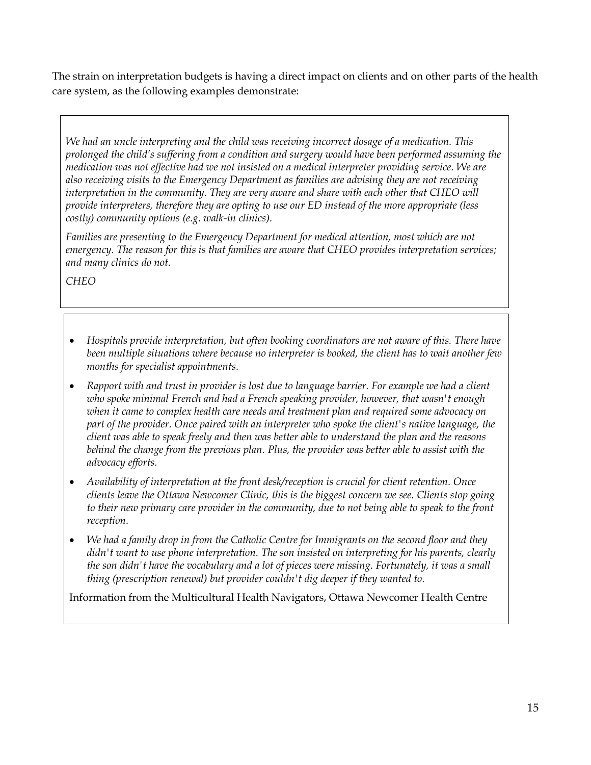The strain on interpretation budgets is having a direct impact on clients and on other parts of the health care system, as the following examples demonstrate:

*We had an uncle interpreting and the child was receiving incorrect dosage of a medication. This prolonged the child's suffering from a condition and surgery would have been performed assuming the medication was not effective had we not insisted on a medical interpreter providing service. We are also receiving visits to the Emergency Department as families are advising they are not receiving interpretation in the community. They are very aware and share with each other that CHEO will provide interpreters, therefore they are opting to use our ED instead of the more appropriate (less costly) community options (e.g. walk-in clinics).* 

*Families are presenting to the Emergency Department for medical attention, most which are not emergency. The reason for this is that families are aware that CHEO provides interpretation services; and many clinics do not.*

*CHEO*

- *Hospitals provide interpretation, but often booking coordinators are not aware of this. There have been multiple situations where because no interpreter is booked, the client has to wait another few months for specialist appointments.*
- *Rapport with and trust in provider is lost due to language barrier. For example we had a client who spoke minimal French and had a French speaking provider, however, that wasn't enough when it came to complex health care needs and treatment plan and required some advocacy on part of the provider. Once paired with an interpreter who spoke the client's native language, the client was able to speak freely and then was better able to understand the plan and the reasons behind the change from the previous plan. Plus, the provider was better able to assist with the advocacy efforts.*
- *Availability of interpretation at the front desk/reception is crucial for client retention. Once clients leave the Ottawa Newcomer Clinic, this is the biggest concern we see. Clients stop going to their new primary care provider in the community, due to not being able to speak to the front reception.*
- *We had a family drop in from the Catholic Centre for Immigrants on the second floor and they didn't want to use phone interpretation. The son insisted on interpreting for his parents, clearly the son didn't have the vocabulary and a lot of pieces were missing. Fortunately, it was a small thing (prescription renewal) but provider couldn't dig deeper if they wanted to.*

Information from the Multicultural Health Navigators, Ottawa Newcomer Health Centre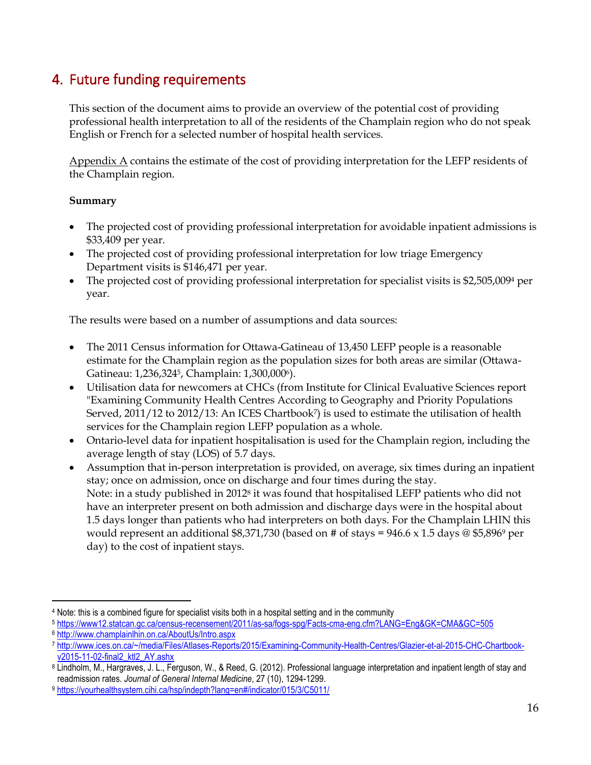# <span id="page-15-0"></span>4. Future funding requirements

This section of the document aims to provide an overview of the potential cost of providing professional health interpretation to all of the residents of the Champlain region who do not speak English or French for a selected number of hospital health services.

Appendix A contains the estimate of the cost of providing interpretation for the LEFP residents of the Champlain region.

#### **Summary**

- The projected cost of providing professional interpretation for avoidable inpatient admissions is \$33,409 per year.
- The projected cost of providing professional interpretation for low triage Emergency Department visits is \$146,471 per year.
- The projected cost of providing professional interpretation for specialist visits is \$2,505,0094 per year.

The results were based on a number of assumptions and data sources:

- The 2011 Census information for Ottawa-Gatineau of 13,450 LEFP people is a reasonable estimate for the Champlain region as the population sizes for both areas are similar (Ottawa-Gatineau: 1,236,3245, Champlain: 1,300,0006).
- Utilisation data for newcomers at CHCs (from Institute for Clinical Evaluative Sciences report "Examining Community Health Centres According to Geography and Priority Populations Served, 2011/12 to 2012/13: An ICES Chartbook<sup>7</sup> is used to estimate the utilisation of health services for the Champlain region LEFP population as a whole.
- Ontario-level data for inpatient hospitalisation is used for the Champlain region, including the average length of stay (LOS) of 5.7 days.
- Assumption that in-person interpretation is provided, on average, six times during an inpatient stay; once on admission, once on discharge and four times during the stay. Note: in a study published in 2012<sup>8</sup> it was found that hospitalised LEFP patients who did not have an interpreter present on both admission and discharge days were in the hospital about 1.5 days longer than patients who had interpreters on both days. For the Champlain LHIN this would represent an additional \$8,371,730 (based on # of stays =  $946.6 \times 1.5$  days @ \$5,896<sup>9</sup> per day) to the cost of inpatient stays.

 $\overline{a}$ <sup>4</sup> Note: this is a combined figure for specialist visits both in a hospital setting and in the community

<sup>5</sup> <https://www12.statcan.gc.ca/census-recensement/2011/as-sa/fogs-spg/Facts-cma-eng.cfm?LANG=Eng&GK=CMA&GC=505>

<sup>6</sup> <http://www.champlainlhin.on.ca/AboutUs/Intro.aspx>

<sup>7</sup> [http://www.ices.on.ca/~/media/Files/Atlases-Reports/2015/Examining-Community-Health-Centres/Glazier-et-al-2015-CHC-Chartbook](http://www.ices.on.ca/~/media/Files/Atlases-Reports/2015/Examining-Community-Health-Centres/Glazier-et-al-2015-CHC-Chartbook-v2015-11-02-final2_ktl2_AY.ashx)[v2015-11-02-final2\\_ktl2\\_AY.ashx](http://www.ices.on.ca/~/media/Files/Atlases-Reports/2015/Examining-Community-Health-Centres/Glazier-et-al-2015-CHC-Chartbook-v2015-11-02-final2_ktl2_AY.ashx)

<sup>8</sup> Lindholm, M., Hargraves, J. L., Ferguson, W., & Reed, G. (2012). Professional language interpretation and inpatient length of stay and readmission rates. *Journal of General Internal Medicine*, 27 (10), 1294-1299.

<sup>9</sup> <https://yourhealthsystem.cihi.ca/hsp/indepth?lang=en#/indicator/015/3/C5011/>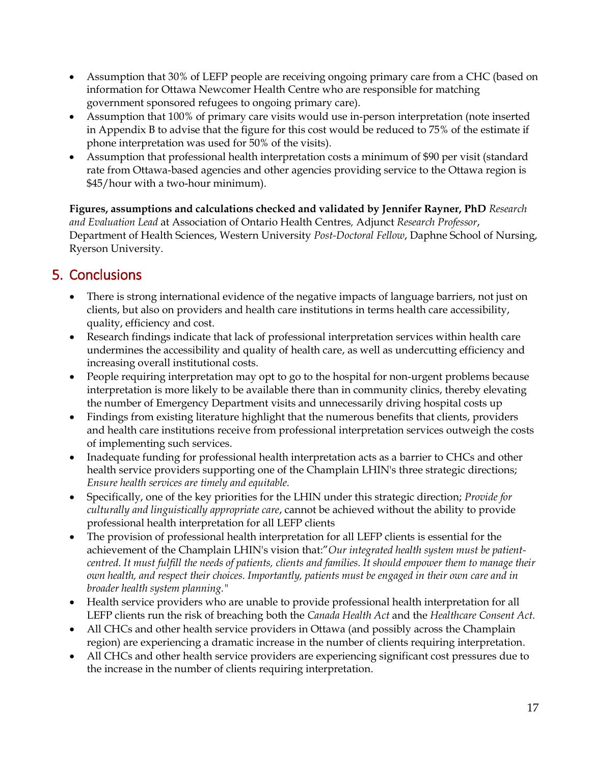- Assumption that 30% of LEFP people are receiving ongoing primary care from a CHC (based on information for Ottawa Newcomer Health Centre who are responsible for matching government sponsored refugees to ongoing primary care).
- Assumption that 100% of primary care visits would use in-person interpretation (note inserted in Appendix B to advise that the figure for this cost would be reduced to 75% of the estimate if phone interpretation was used for 50% of the visits).
- Assumption that professional health interpretation costs a minimum of \$90 per visit (standard rate from Ottawa-based agencies and other agencies providing service to the Ottawa region is \$45/hour with a two-hour minimum).

**Figures, assumptions and calculations checked and validated by Jennifer Rayner, PhD** *Research and Evaluation Lead* at Association of Ontario Health Centres*,* Adjunct *Research Professor*, Department of Health Sciences, Western University *Post-Doctoral Fellow*, Daphne School of Nursing, Ryerson University.

# <span id="page-16-0"></span>5. Conclusions

- There is strong international evidence of the negative impacts of language barriers, not just on clients, but also on providers and health care institutions in terms health care accessibility, quality, efficiency and cost.
- Research findings indicate that lack of professional interpretation services within health care undermines the accessibility and quality of health care, as well as undercutting efficiency and increasing overall institutional costs.
- People requiring interpretation may opt to go to the hospital for non-urgent problems because interpretation is more likely to be available there than in community clinics, thereby elevating the number of Emergency Department visits and unnecessarily driving hospital costs up
- Findings from existing literature highlight that the numerous benefits that clients, providers and health care institutions receive from professional interpretation services outweigh the costs of implementing such services.
- Inadequate funding for professional health interpretation acts as a barrier to CHCs and other health service providers supporting one of the Champlain LHIN's three strategic directions; *Ensure health services are timely and equitable.*
- Specifically, one of the key priorities for the LHIN under this strategic direction; *Provide for culturally and linguistically appropriate care*, cannot be achieved without the ability to provide professional health interpretation for all LEFP clients
- The provision of professional health interpretation for all LEFP clients is essential for the achievement of the Champlain LHIN's vision that:"*Our integrated health system must be patientcentred. It must fulfill the needs of patients, clients and families. It should empower them to manage their own health, and respect their choices. Importantly, patients must be engaged in their own care and in broader health system planning."*
- Health service providers who are unable to provide professional health interpretation for all LEFP clients run the risk of breaching both the *Canada Health Act* and the *Healthcare Consent Act.*
- All CHCs and other health service providers in Ottawa (and possibly across the Champlain region) are experiencing a dramatic increase in the number of clients requiring interpretation.
- All CHCs and other health service providers are experiencing significant cost pressures due to the increase in the number of clients requiring interpretation.